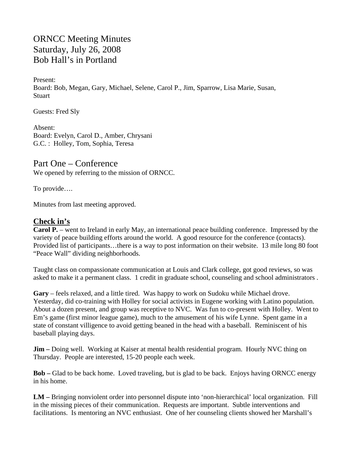ORNCC Meeting Minutes Saturday, July 26, 2008 Bob Hall's in Portland

Present: Board: Bob, Megan, Gary, Michael, Selene, Carol P., Jim, Sparrow, Lisa Marie, Susan, **Stuart** 

Guests: Fred Sly

Absent: Board: Evelyn, Carol D., Amber, Chrysani G.C. : Holley, Tom, Sophia, Teresa

Part One – Conference We opened by referring to the mission of ORNCC.

To provide….

Minutes from last meeting approved.

# **Check in's**

**Carol P.** – went to Ireland in early May, an international peace building conference. Impressed by the variety of peace building efforts around the world. A good resource for the conference (contacts). Provided list of participants…there is a way to post information on their website. 13 mile long 80 foot "Peace Wall" dividing neighborhoods.

Taught class on compassionate communication at Louis and Clark college, got good reviews, so was asked to make it a permanent class. 1 credit in graduate school, counseling and school administrators .

**Gary** – feels relaxed, and a little tired. Was happy to work on Sudoku while Michael drove. Yesterday, did co-training with Holley for social activists in Eugene working with Latino population. About a dozen present, and group was receptive to NVC. Was fun to co-present with Holley. Went to Em's game (first minor league game), much to the amusement of his wife Lynne. Spent game in a state of constant villigence to avoid getting beaned in the head with a baseball. Reminiscent of his baseball playing days.

**Jim** – Doing well. Working at Kaiser at mental health residential program. Hourly NVC thing on Thursday. People are interested, 15-20 people each week.

**Bob –** Glad to be back home. Loved traveling, but is glad to be back. Enjoys having ORNCC energy in his home.

**LM –** Bringing nonviolent order into personnel dispute into 'non-hierarchical' local organization. Fill in the missing pieces of their communication. Requests are important. Subtle interventions and facilitations. Is mentoring an NVC enthusiast. One of her counseling clients showed her Marshall's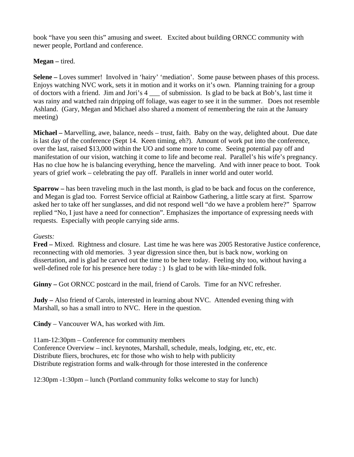book "have you seen this" amusing and sweet. Excited about building ORNCC community with newer people, Portland and conference.

**Megan –** tired.

**Selene –** Loves summer! Involved in 'hairy' 'mediation'. Some pause between phases of this process. Enjoys watching NVC work, sets it in motion and it works on it's own. Planning training for a group of doctors with a friend. Jim and Jori's 4 \_\_\_ of submission. Is glad to be back at Bob's, last time it was rainy and watched rain dripping off foliage, was eager to see it in the summer. Does not resemble Ashland. (Gary, Megan and Michael also shared a moment of remembering the rain at the January meeting)

**Michael –** Marvelling, awe, balance, needs – trust, faith. Baby on the way, delighted about. Due date is last day of the conference (Sept 14. Keen timing, eh?). Amount of work put into the conference, over the last, raised \$13,000 within the UO and some more to come. Seeing potential pay off and manifestation of our vision, watching it come to life and become real. Parallel's his wife's pregnancy. Has no clue how he is balancing everything, hence the marveling. And with inner peace to boot. Took years of grief work – celebrating the pay off. Parallels in inner world and outer world.

**Sparrow –** has been traveling much in the last month, is glad to be back and focus on the conference, and Megan is glad too. Forrest Service official at Rainbow Gathering, a little scary at first. Sparrow asked her to take off her sunglasses, and did not respond well "do we have a problem here?" Sparrow replied "No, I just have a need for connection". Emphasizes the importance of expressing needs with requests. Especially with people carrying side arms.

# *Guests:*

**Fred –** Mixed. Rightness and closure. Last time he was here was 2005 Restorative Justice conference, reconnecting with old memories. 3 year digression since then, but is back now, working on dissertation, and is glad he carved out the time to be here today. Feeling shy too, without having a well-defined role for his presence here today : ) Is glad to be with like-minded folk.

**Ginny –** Got ORNCC postcard in the mail, friend of Carols. Time for an NVC refresher.

**Judy –** Also friend of Carols, interested in learning about NVC. Attended evening thing with Marshall, so has a small intro to NVC. Here in the question.

**Cindy** – Vancouver WA, has worked with Jim.

11am-12:30pm – Conference for community members Conference Overview – incl. keynotes, Marshall, schedule, meals, lodging, etc, etc, etc. Distribute fliers, brochures, etc for those who wish to help with publicity Distribute registration forms and walk-through for those interested in the conference

12:30pm -1:30pm – lunch (Portland community folks welcome to stay for lunch)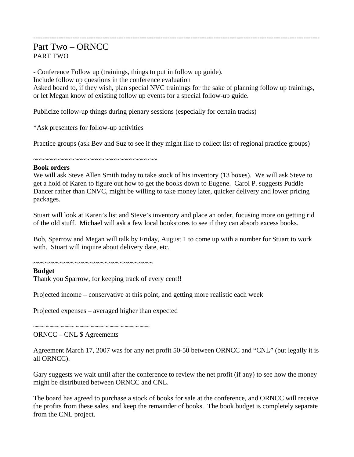# Part Two – ORNCC PART TWO

- Conference Follow up (trainings, things to put in follow up guide). Include follow up questions in the conference evaluation Asked board to, if they wish, plan special NVC trainings for the sake of planning follow up trainings, or let Megan know of existing follow up events for a special follow-up guide.

----------------------------------------------------------------------------------------------------------------------------

Publicize follow-up things during plenary sessions (especially for certain tracks)

\*Ask presenters for follow-up activities

Practice groups (ask Bev and Suz to see if they might like to collect list of regional practice groups)

~~~~~~~~~~~~~~~~~~~~~~~~~~~~~~~~~

### **Book orders**

We will ask Steve Allen Smith today to take stock of his inventory (13 boxes). We will ask Steve to get a hold of Karen to figure out how to get the books down to Eugene. Carol P. suggests Puddle Dancer rather than CNVC, might be willing to take money later, quicker delivery and lower pricing packages.

Stuart will look at Karen's list and Steve's inventory and place an order, focusing more on getting rid of the old stuff. Michael will ask a few local bookstores to see if they can absorb excess books.

Bob, Sparrow and Megan will talk by Friday, August 1 to come up with a number for Stuart to work with. Stuart will inquire about delivery date, etc.

~~~~~~~~~~~~~~~~~~~~~~~~~~~~~

### **Budget**

Thank you Sparrow, for keeping track of every cent!!

Projected income – conservative at this point, and getting more realistic each week

Projected expenses – averaged higher than expected

ORNCC – CNL \$ Agreements

~~~~~~~~~~~~~~~~~~~~~~~~~~~~~~~

Agreement March 17, 2007 was for any net profit 50-50 between ORNCC and "CNL" (but legally it is all ORNCC).

Gary suggests we wait until after the conference to review the net profit (if any) to see how the money might be distributed between ORNCC and CNL.

The board has agreed to purchase a stock of books for sale at the conference, and ORNCC will receive the profits from these sales, and keep the remainder of books. The book budget is completely separate from the CNL project.